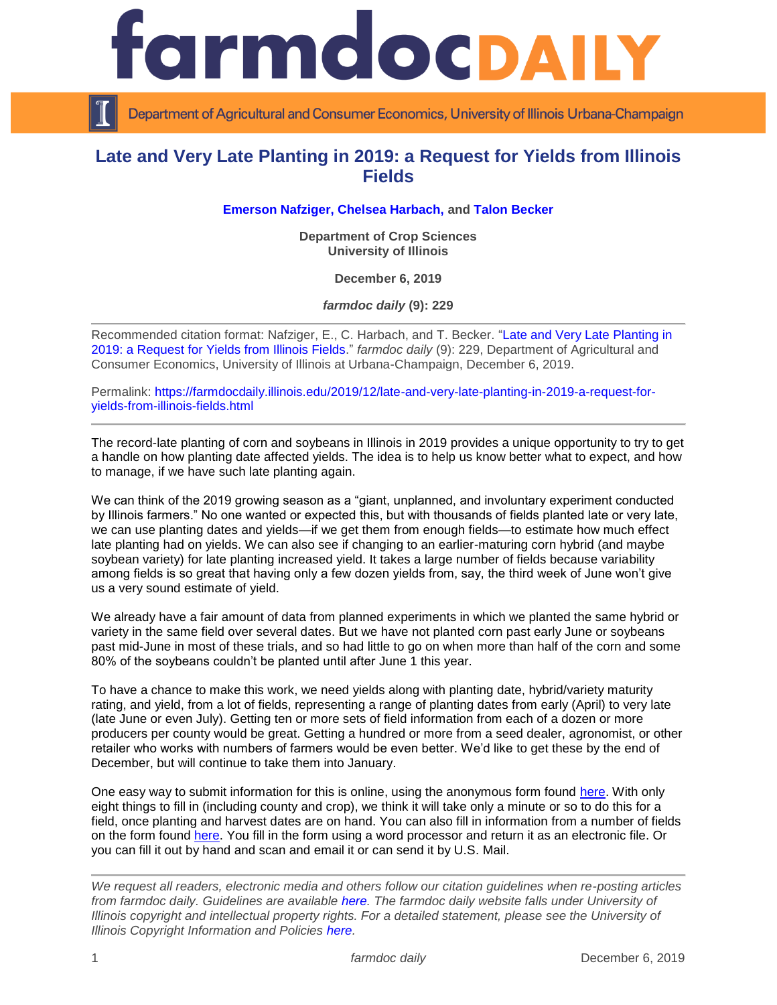

Department of Agricultural and Consumer Economics, University of Illinois Urbana-Champaign

## **Late and Very Late Planting in 2019: a Request for Yields from Illinois Fields**

**[Emerson Nafziger,](https://cropsciences.illinois.edu/people/profile/ednaf) Chelsea Harbach, and Talon Becker**

**Department of Crop Sciences University of Illinois**

**December 6, 2019**

*farmdoc daily* **(9): 229**

Recommended citation format: Nafziger, E., C. Harbach, and T. Becker. "Late and Very Late Planting in 2019: a [Request for Yields from Illinois Fields.](https://farmdocdaily.illinois.edu/2019/12/late-and-very-late-planting-in-2019-a-request-for-yields-from-illinois-fields.html)" *farmdoc daily* (9): 229, Department of Agricultural and Consumer Economics, University of Illinois at Urbana-Champaign, December 6, 2019.

Permalink: [https://farmdocdaily.illinois.edu/2019/12/late-and-very-late-planting-in-2019-a-request-for](https://farmdocdaily.illinois.edu/2019/12/late-and-very-late-planting-in-2019-a-request-for-yields-from-illinois-fields.html)[yields-from-illinois-fields.html](https://farmdocdaily.illinois.edu/2019/12/late-and-very-late-planting-in-2019-a-request-for-yields-from-illinois-fields.html)

The record-late planting of corn and soybeans in Illinois in 2019 provides a unique opportunity to try to get a handle on how planting date affected yields. The idea is to help us know better what to expect, and how to manage, if we have such late planting again.

We can think of the 2019 growing season as a "giant, unplanned, and involuntary experiment conducted by Illinois farmers." No one wanted or expected this, but with thousands of fields planted late or very late, we can use planting dates and yields—if we get them from enough fields—to estimate how much effect late planting had on yields. We can also see if changing to an earlier-maturing corn hybrid (and maybe soybean variety) for late planting increased yield. It takes a large number of fields because variability among fields is so great that having only a few dozen yields from, say, the third week of June won't give us a very sound estimate of yield.

We already have a fair amount of data from planned experiments in which we planted the same hybrid or variety in the same field over several dates. But we have not planted corn past early June or soybeans past mid-June in most of these trials, and so had little to go on when more than half of the corn and some 80% of the soybeans couldn't be planted until after June 1 this year.

To have a chance to make this work, we need yields along with planting date, hybrid/variety maturity rating, and yield, from a lot of fields, representing a range of planting dates from early (April) to very late (late June or even July). Getting ten or more sets of field information from each of a dozen or more producers per county would be great. Getting a hundred or more from a seed dealer, agronomist, or other retailer who works with numbers of farmers would be even better. We'd like to get these by the end of December, but will continue to take them into January.

One easy way to submit information for this is online, using the anonymous form found [here.](https://illinoisaces.co1.qualtrics.com/jfe/form/SV_3k4Xl3RH8pE84K1) With only eight things to fill in (including county and crop), we think it will take only a minute or so to do this for a field, once planting and harvest dates are on hand. You can also fill in information from a number of fields on the form found [here.](https://extension.illinois.edu/sites/default/files/2019plantingdateyieldsurvey.pdf) You fill in the form using a word processor and return it as an electronic file. Or you can fill it out by hand and scan and email it or can send it by U.S. Mail.

*We request all readers, electronic media and others follow our citation guidelines when re-posting articles from farmdoc daily. Guidelines are available [here.](http://farmdocdaily.illinois.edu/citationguide.html) The farmdoc daily website falls under University of Illinois copyright and intellectual property rights. For a detailed statement, please see the University of Illinois Copyright Information and Policies [here.](http://www.cio.illinois.edu/policies/copyright/)*